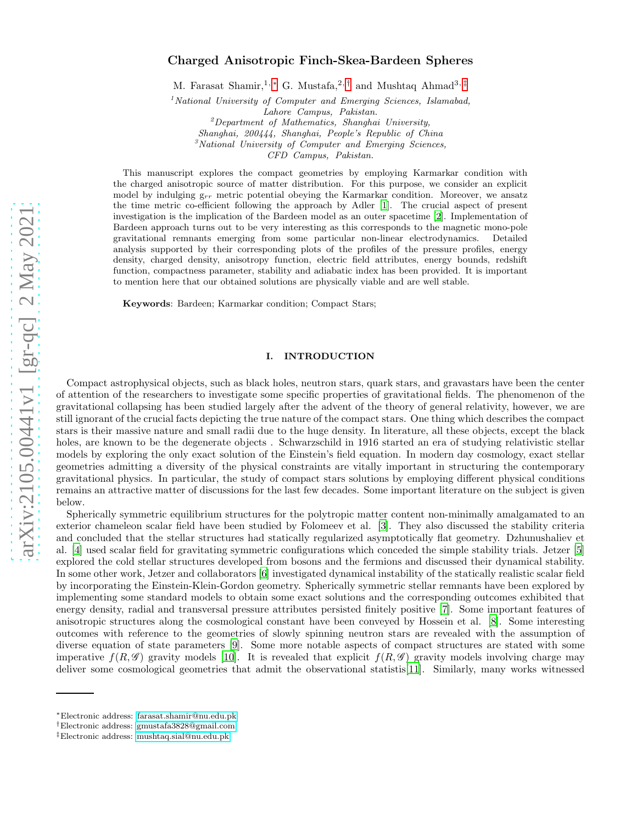# Charged Anisotropic Finch-Skea-Bardeen Spheres

M. Farasat Shamir,<sup>1, \*</sup> G. Mustafa,<sup>2,[†](#page-0-1)</sup> and Mushtaq Ahmad<sup>3,[‡](#page-0-2)</sup>

<sup>1</sup> National University of Computer and Emerging Sciences, Islamabad,

Lahore Campus, Pakistan.

 ${}^{2}$ Department of Mathematics, Shanghai University,

Shanghai, 200444, Shanghai, People's Republic of China  $3$ National University of Computer and Emerging Sciences,

CFD Campus, Pakistan.

This manuscript explores the compact geometries by employing Karmarkar condition with

the charged anisotropic source of matter distribution. For this purpose, we consider an explicit model by indulging  $g_{rr}$  metric potential obeying the Karmarkar condition. Moreover, we ansatz the time metric co-efficient following the approach by Adler [\[1](#page-14-0)]. The crucial aspect of present investigation is the implication of the Bardeen model as an outer spacetime [\[2](#page-14-1)]. Implementation of Bardeen approach turns out to be very interesting as this corresponds to the magnetic mono-pole gravitational remnants emerging from some particular non-linear electrodynamics. Detailed analysis supported by their corresponding plots of the profiles of the pressure profiles, energy density, charged density, anisotropy function, electric field attributes, energy bounds, redshift function, compactness parameter, stability and adiabatic index has been provided. It is important to mention here that our obtained solutions are physically viable and are well stable.

Keywords: Bardeen; Karmarkar condition; Compact Stars;

# I. INTRODUCTION

Compact astrophysical objects, such as black holes, neutron stars, quark stars, and gravastars have been the center of attention of the researchers to investigate some specific properties of gravitational fields. The phenomenon of the gravitational collapsing has been studied largely after the advent of the theory of general relativity, however, we are still ignorant of the crucial facts depicting the true nature of the compact stars. One thing which describes the compact stars is their massive nature and small radii due to the huge density. In literature, all these objects, except the black holes, are known to be the degenerate objects . Schwarzschild in 1916 started an era of studying relativistic stellar models by exploring the only exact solution of the Einstein's field equation. In modern day cosmology, exact stellar geometries admitting a diversity of the physical constraints are vitally important in structuring the contemporary gravitational physics. In particular, the study of compact stars solutions by employing different physical conditions remains an attractive matter of discussions for the last few decades. Some important literature on the subject is given below.

Spherically symmetric equilibrium structures for the polytropic matter content non-minimally amalgamated to an exterior chameleon scalar field have been studied by Folomeev et al. [\[3](#page-14-2)]. They also discussed the stability criteria and concluded that the stellar structures had statically regularized asymptotically flat geometry. Dzhunushaliev et al. [\[4\]](#page-14-3) used scalar field for gravitating symmetric configurations which conceded the simple stability trials. Jetzer [\[5](#page-14-4)] explored the cold stellar structures developed from bosons and the fermions and discussed their dynamical stability. In some other work, Jetzer and collaborators [\[6\]](#page-14-5) investigated dynamical instability of the statically realistic scalar field by incorporating the Einstein-Klein-Gordon geometry. Spherically symmetric stellar remnants have been explored by implementing some standard models to obtain some exact solutions and the corresponding outcomes exhibited that energy density, radial and transversal pressure attributes persisted finitely positive [\[7](#page-14-6)]. Some important features of anisotropic structures along the cosmological constant have been conveyed by Hossein et al. [\[8\]](#page-14-7). Some interesting outcomes with reference to the geometries of slowly spinning neutron stars are revealed with the assumption of diverse equation of state parameters [\[9](#page-14-8)]. Some more notable aspects of compact structures are stated with some imperative  $f(R,\mathscr{G})$  gravity models [\[10\]](#page-14-9). It is revealed that explicit  $f(R,\mathscr{G})$  gravity models involving charge may deliver some cosmological geometries that admit the observational statistis[\[11\]](#page-14-10). Similarly, many works witnessed

<span id="page-0-0"></span><sup>∗</sup>Electronic address: [farasat.shamir@nu.edu.pk](mailto:farasat.shamir@nu.edu.pk)

<span id="page-0-1"></span><sup>†</sup>Electronic address: [gmustafa3828@gmail.com](mailto:gmustafa3828@gmail.com)

<span id="page-0-2"></span><sup>‡</sup>Electronic address: [mushtaq.sial@nu.edu.pk](mailto:mushtaq.sial@nu.edu.pk)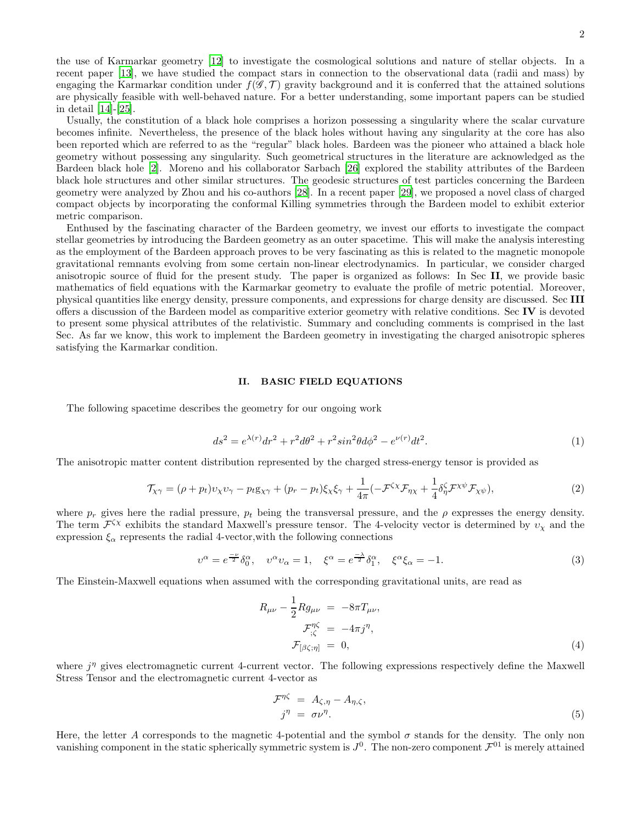the use of Karmarkar geometry [\[12\]](#page-14-11) to investigate the cosmological solutions and nature of stellar objects. In a recent paper [\[13](#page-14-12)], we have studied the compact stars in connection to the observational data (radii and mass) by engaging the Karmarkar condition under  $f(\mathscr{G},\mathcal{T})$  gravity background and it is conferred that the attained solutions are physically feasible with well-behaved nature. For a better understanding, some important papers can be studied in detail [\[14](#page-14-13)]-[\[25\]](#page-14-14).

Usually, the constitution of a black hole comprises a horizon possessing a singularity where the scalar curvature becomes infinite. Nevertheless, the presence of the black holes without having any singularity at the core has also been reported which are referred to as the "regular" black holes. Bardeen was the pioneer who attained a black hole geometry without possessing any singularity. Such geometrical structures in the literature are acknowledged as the Bardeen black hole [\[2](#page-14-1)]. Moreno and his collaborator Sarbach [\[26](#page-14-15)] explored the stability attributes of the Bardeen black hole structures and other similar structures. The geodesic structures of test particles concerning the Bardeen geometry were analyzed by Zhou and his co-authors [\[28\]](#page-14-16). In a recent paper [\[29\]](#page-14-17), we proposed a novel class of charged compact objects by incorporating the conformal Killing symmetries through the Bardeen model to exhibit exterior metric comparison.

Enthused by the fascinating character of the Bardeen geometry, we invest our efforts to investigate the compact stellar geometries by introducing the Bardeen geometry as an outer spacetime. This will make the analysis interesting as the employment of the Bardeen approach proves to be very fascinating as this is related to the magnetic monopole gravitational remnants evolving from some certain non-linear electrodynamics. In particular, we consider charged anisotropic source of fluid for the present study. The paper is organized as follows: In Sec II, we provide basic mathematics of field equations with the Karmarkar geometry to evaluate the profile of metric potential. Moreover, physical quantities like energy density, pressure components, and expressions for charge density are discussed. Sec III offers a discussion of the Bardeen model as comparitive exterior geometry with relative conditions. Sec IV is devoted to present some physical attributes of the relativistic. Summary and concluding comments is comprised in the last Sec. As far we know, this work to implement the Bardeen geometry in investigating the charged anisotropic spheres satisfying the Karmarkar condition.

#### II. BASIC FIELD EQUATIONS

The following spacetime describes the geometry for our ongoing work

<span id="page-1-0"></span>
$$
ds^{2} = e^{\lambda(r)}dr^{2} + r^{2}d\theta^{2} + r^{2}sin^{2}\theta d\phi^{2} - e^{\nu(r)}dt^{2}.
$$
\n(1)

The anisotropic matter content distribution represented by the charged stress-energy tensor is provided as

<span id="page-1-1"></span>
$$
\mathcal{T}_{\chi\gamma} = (\rho + p_t)v_{\chi}v_{\gamma} - p_t g_{\chi\gamma} + (p_r - p_t)\xi_{\chi}\xi_{\gamma} + \frac{1}{4\pi}(-\mathcal{F}^{\zeta\chi}\mathcal{F}_{\eta\chi} + \frac{1}{4}\delta_{\eta}^{\zeta}\mathcal{F}^{\chi\psi}\mathcal{F}_{\chi\psi}),
$$
\n(2)

where  $p_r$  gives here the radial pressure,  $p_t$  being the transversal pressure, and the  $\rho$  expresses the energy density. The term  $\mathcal{F}^{\zeta\chi}$  exhibits the standard Maxwell's pressure tensor. The 4-velocity vector is determined by  $v_\chi$  and the expression  $\xi_{\alpha}$  represents the radial 4-vector, with the following connections

$$
\upsilon^{\alpha} = e^{\frac{-\nu}{2}} \delta^{\alpha}_{0}, \quad \upsilon^{\alpha} \upsilon_{\alpha} = 1, \quad \xi^{\alpha} = e^{\frac{-\lambda}{2}} \delta^{\alpha}_{1}, \quad \xi^{\alpha} \xi_{\alpha} = -1. \tag{3}
$$

The Einstein-Maxwell equations when assumed with the corresponding gravitational units, are read as

<span id="page-1-2"></span>
$$
R_{\mu\nu} - \frac{1}{2} R g_{\mu\nu} = -8\pi T_{\mu\nu},
$$
  
\n
$$
\mathcal{F}_{;\zeta}^{\eta\zeta} = -4\pi j^{\eta},
$$
  
\n
$$
\mathcal{F}_{[\beta\zeta;\eta]} = 0,
$$
\n(4)

where  $j^{\eta}$  gives electromagnetic current 4-current vector. The following expressions respectively define the Maxwell Stress Tensor and the electromagnetic current 4-vector as

$$
\mathcal{F}^{\eta\zeta} = A_{\zeta,\eta} - A_{\eta,\zeta}, \nj^{\eta} = \sigma \nu^{\eta}.
$$
\n(5)

Here, the letter A corresponds to the magnetic 4-potential and the symbol  $\sigma$  stands for the density. The only non vanishing component in the static spherically symmetric system is  $J^0$ . The non-zero component  $\mathcal{F}^{01}$  is merely attained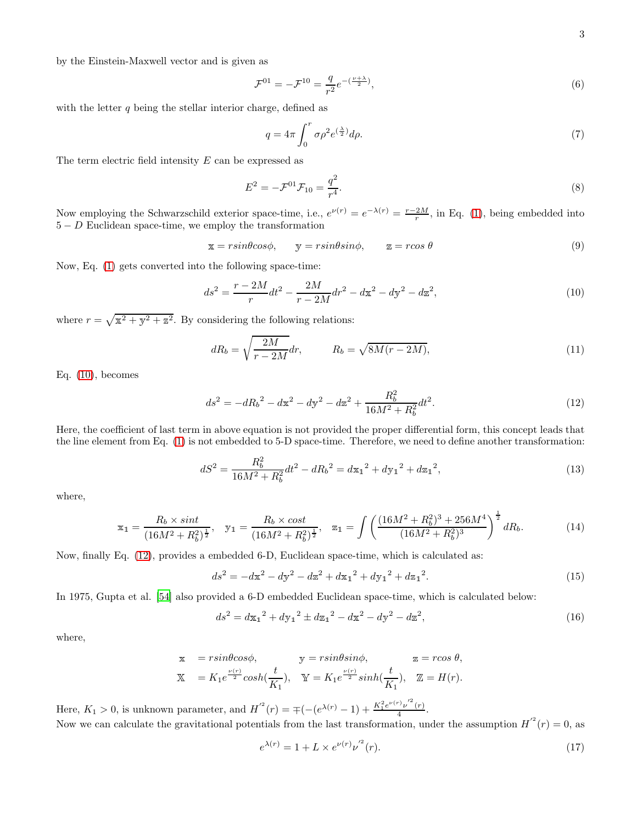by the Einstein-Maxwell vector and is given as

$$
\mathcal{F}^{01} = -\mathcal{F}^{10} = \frac{q}{r^2} e^{-(\frac{\nu + \lambda}{2})},\tag{6}
$$

with the letter  $q$  being the stellar interior charge, defined as

$$
q = 4\pi \int_0^r \sigma \rho^2 e^{(\frac{\lambda}{2})} d\rho. \tag{7}
$$

The term electric field intensity  $E$  can be expressed as

$$
E^2 = -\mathcal{F}^{01}\mathcal{F}_{10} = \frac{q^2}{r^4}.
$$
\n(8)

Now employing the Schwarzschild exterior space-time, i.e.,  $e^{\nu(r)} = e^{-\lambda(r)} = \frac{r-2M}{r}$ , in Eq. [\(1\)](#page-1-0), being embedded into  $5 - D$  Euclidean space-time, we employ the transformation

$$
\mathbf{x} = r \sin \theta \cos \phi, \qquad \mathbf{y} = r \sin \theta \sin \phi, \qquad \mathbf{z} = r \cos \theta \tag{9}
$$

Now, Eq. [\(1\)](#page-1-0) gets converted into the following space-time:

<span id="page-2-0"></span>
$$
ds^{2} = \frac{r - 2M}{r}dt^{2} - \frac{2M}{r - 2M}dr^{2} - d\mathbf{x}^{2} - d\mathbf{y}^{2} - d\mathbf{z}^{2},
$$
\n(10)

where  $r = \sqrt{x^2 + y^2 + z^2}$ . By considering the following relations:

$$
dR_b = \sqrt{\frac{2M}{r - 2M}} dr, \qquad R_b = \sqrt{8M(r - 2M)}, \qquad (11)
$$

Eq. [\(10\)](#page-2-0), becomes

<span id="page-2-1"></span>
$$
ds^{2} = -dR_{b}^{2} - d\mathbf{x}^{2} - d\mathbf{y}^{2} - d\mathbf{z}^{2} + \frac{R_{b}^{2}}{16M^{2} + R_{b}^{2}}dt^{2}.
$$
\n(12)

Here, the coefficient of last term in above equation is not provided the proper differential form, this concept leads that the line element from Eq. [\(1\)](#page-1-0) is not embedded to 5-D space-time. Therefore, we need to define another transformation:

$$
dS^{2} = \frac{R_{b}^{2}}{16M^{2} + R_{b}^{2}}dt^{2} - dR_{b}^{2} = d\mathbf{x}_{1}^{2} + d\mathbf{y}_{1}^{2} + d\mathbf{z}_{1}^{2},
$$
\n(13)

where,

$$
\mathbf{x}_1 = \frac{R_b \times \sin t}{\left(16M^2 + R_b^2\right)^{\frac{1}{2}}}, \quad \mathbf{y}_1 = \frac{R_b \times \cos t}{\left(16M^2 + R_b^2\right)^{\frac{1}{2}}}, \quad \mathbf{z}_1 = \int \left(\frac{(16M^2 + R_b^2)^3 + 256M^4}{(16M^2 + R_b^2)^3}\right)^{\frac{1}{2}} dR_b.
$$
 (14)

Now, finally Eq. [\(12\)](#page-2-1), provides a embedded 6-D, Euclidean space-time, which is calculated as:

$$
ds^{2} = -dx^{2} - dy^{2} - dz^{2} + dx_{1}^{2} + dy_{1}^{2} + dz_{1}^{2}.
$$
\n(15)

In 1975, Gupta et al. [\[54\]](#page-14-18) also provided a 6-D embedded Euclidean space-time, which is calculated below:

$$
ds^{2} = d\mathbf{x}_{1}^{2} + d\mathbf{y}_{1}^{2} \pm d\mathbf{z}_{1}^{2} - d\mathbf{x}^{2} - d\mathbf{y}^{2} - d\mathbf{z}^{2},
$$
\n(16)

where,

$$
\begin{array}{lll}\n\text{x} & = r \sin\theta \cos\phi, & \text{y} = r \sin\theta \sin\phi, & \text{z} = r \cos\theta, \\
\text{X} & = K_1 e^{\frac{\nu(r)}{2}} \cosh\left(\frac{t}{K_1}\right), & \text{Y} = K_1 e^{\frac{\nu(r)}{2}} \sinh\left(\frac{t}{K_1}\right), & \text{Z} = H(r).\n\end{array}
$$

Here,  $K_1 > 0$ , is unknown parameter, and  $H^{2}(r) = \pm (- (e^{\lambda(r)} - 1) + \frac{K_1^2 e^{\nu(r)} \nu'^2(r)}{4})$  $\frac{p(r)}{4}$ . Now we can calculate the gravitational potentials from the last transformation, under the assumption  $H^{2}(r) = 0$ , as

<span id="page-2-2"></span>
$$
e^{\lambda(r)} = 1 + L \times e^{\nu(r)} \nu'^2(r). \tag{17}
$$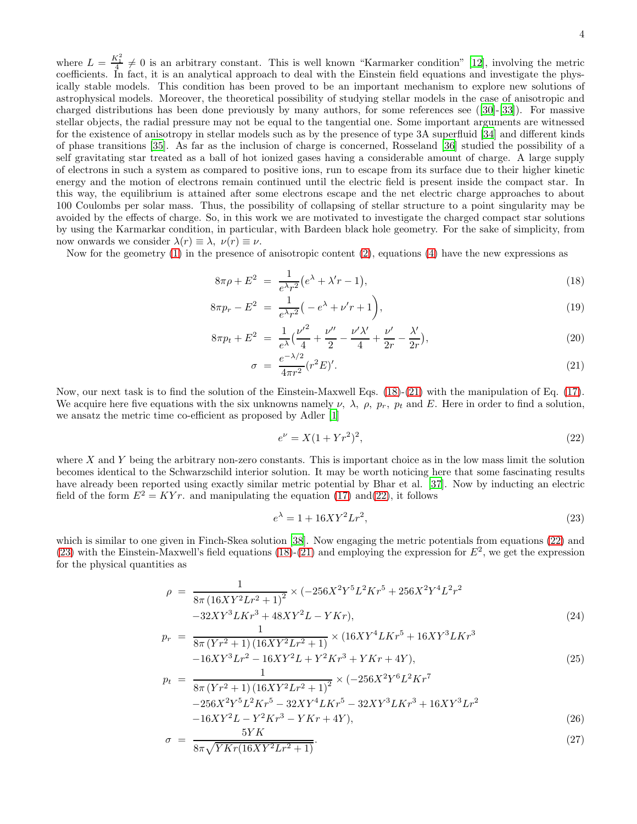where  $L = \frac{K_1^2}{4} \neq 0$  is an arbitrary constant. This is well known "Karmarker condition" [\[12\]](#page-14-11), involving the metric coefficients. In fact, it is an analytical approach to deal with the Einstein field equations and investigate the physically stable models. This condition has been proved to be an important mechanism to explore new solutions of astrophysical models. Moreover, the theoretical possibility of studying stellar models in the case of anisotropic and charged distributions has been done previously by many authors, for some references see([\[30](#page-14-19)]-[\[33\]](#page-14-20)). For massive stellar objects, the radial pressure may not be equal to the tangential one. Some important arguments are witnessed for the existence of anisotropy in stellar models such as by the presence of type 3A superfluid [\[34\]](#page-14-21) and different kinds of phase transitions [\[35\]](#page-14-22). As far as the inclusion of charge is concerned, Rosseland [\[36](#page-14-23)] studied the possibility of a self gravitating star treated as a ball of hot ionized gases having a considerable amount of charge. A large supply of electrons in such a system as compared to positive ions, run to escape from its surface due to their higher kinetic energy and the motion of electrons remain continued until the electric field is present inside the compact star. In this way, the equilibrium is attained after some electrons escape and the net electric charge approaches to about 100 Coulombs per solar mass. Thus, the possibility of collapsing of stellar structure to a point singularity may be avoided by the effects of charge. So, in this work we are motivated to investigate the charged compact star solutions by using the Karmarkar condition, in particular, with Bardeen black hole geometry. For the sake of simplicity, from now onwards we consider  $\lambda(r) \equiv \lambda, \nu(r) \equiv \nu$ .

Now for the geometry [\(1\)](#page-1-0) in the presence of anisotropic content [\(2\)](#page-1-1), equations [\(4\)](#page-1-2) have the new expressions as

<span id="page-3-0"></span>
$$
8\pi\rho + E^2 = \frac{1}{e^{\lambda}r^2} (e^{\lambda} + \lambda' r - 1),
$$
\n(18)

$$
8\pi p_r - E^2 = \frac{1}{e^{\lambda}r^2} \left( -e^{\lambda} + \nu'r + 1 \right),
$$
\n(19)

$$
8\pi p_t + E^2 = \frac{1}{e^{\lambda}} \left( \frac{\nu'^2}{4} + \frac{\nu''}{2} - \frac{\nu'\lambda'}{4} + \frac{\nu'}{2r} - \frac{\lambda'}{2r} \right),\tag{20}
$$

$$
\sigma = \frac{e^{-\lambda/2}}{4\pi r^2} (r^2 E)'.\tag{21}
$$

Now, our next task is to find the solution of the Einstein-Maxwell Eqs. [\(18\)](#page-3-0)-[\(21\)](#page-3-0) with the manipulation of Eq. [\(17\)](#page-2-2). We acquire here five equations with the six unknowns namely  $\nu$ ,  $\lambda$ ,  $\rho$ ,  $p_r$ ,  $p_t$  and E. Here in order to find a solution, we ansatz the metric time co-efficient as proposed by Adler [\[1\]](#page-14-0)

<span id="page-3-1"></span>
$$
e^{\nu} = X(1 + Yr^2)^2,\tag{22}
$$

where  $X$  and  $Y$  being the arbitrary non-zero constants. This is important choice as in the low mass limit the solution becomes identical to the Schwarzschild interior solution. It may be worth noticing here that some fascinating results have already been reported using exactly similar metric potential by Bhar et al. [\[37\]](#page-14-24). Now by inducting an electric field of the form  $E^2 = KYr$ , and manipulating the equation [\(17\)](#page-2-2) and[\(22\)](#page-3-1), it follows

<span id="page-3-2"></span>
$$
e^{\lambda} = 1 + 16XY^2Lr^2,\tag{23}
$$

which is similar to one given in Finch-Skea solution [\[38\]](#page-14-25). Now engaging the metric potentials from equations [\(22\)](#page-3-1) and [\(23\)](#page-3-2) with the Einstein-Maxwell's field equations [\(18\)](#page-3-0)-[\(21\)](#page-3-0) and employing the expression for  $E^2$ , we get the expression for the physical quantities as

$$
\rho = \frac{1}{8\pi (16XY^2Lr^2+1)^2} \times (-256X^2Y^5L^2Kr^5 + 256X^2Y^4L^2r^2 -32XY^3LKr^3 + 48XY^2L - YKr), \tag{24}
$$

$$
p_r = \frac{1}{8\pi (Yr^2 + 1)(16XY^2Lr^2 + 1)} \times (16XY^4LKr^5 + 16XY^3LKr^3 - 16XY^3Lr^2 - 16XY^2L + Y^2Kr^3 + YKr + 4Y),
$$
\n(25)

$$
p_t = \frac{1}{8\pi (Yr^2 + 1)(16XY^2Lr^2 + 1)^2} \times (-256X^2Y^6L^2Kr^7 -256X^2Y^5L^2Kr^5 - 32XY^4LKr^5 - 32XY^3LKr^3 + 16XY^3Lr^2 -16XY^2L - Y^2Kr^3 - YKr + 4Y),
$$
\n(26)

$$
\sigma = \frac{3T\Lambda}{8\pi\sqrt{YKr(16XY^2Lr^2+1)}}.\tag{27}
$$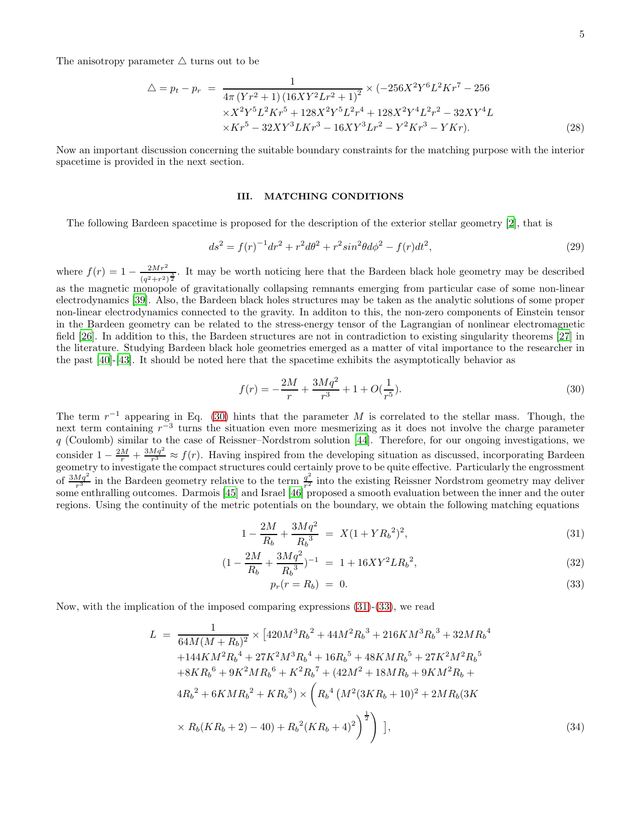The anisotropy parameter  $\triangle$  turns out to be

$$
\Delta = p_t - p_r = \frac{1}{4\pi (Yr^2 + 1)(16XY^2Lr^2 + 1)^2} \times (-256X^2Y^6L^2Kr^7 - 256
$$
  
× $X^2Y^5L^2Kr^5 + 128X^2Y^5L^2r^4 + 128X^2Y^4L^2r^2 - 32XY^4L$   
× $Kr^5 - 32XY^3LKr^3 - 16XY^3Lr^2 - Y^2Kr^3 - YKr).$  (28)

Now an important discussion concerning the suitable boundary constraints for the matching purpose with the interior spacetime is provided in the next section.

# III. MATCHING CONDITIONS

The following Bardeen spacetime is proposed for the description of the exterior stellar geometry [\[2](#page-14-1)], that is

$$
ds^{2} = f(r)^{-1}dr^{2} + r^{2}d\theta^{2} + r^{2}sin^{2}\theta d\phi^{2} - f(r)dt^{2},
$$
\n(29)

where  $f(r) = 1 - \frac{2Mr^2}{(r^2-1)^2}$  $\frac{2MT}{(q^2+r^2)^{\frac{3}{2}}}$ . It may be worth noticing here that the Bardeen black hole geometry may be described as the magnetic monopole of gravitationally collapsing remnants emerging from particular case of some non-linear electrodynamics [\[39\]](#page-14-26). Also, the Bardeen black holes structures may be taken as the analytic solutions of some proper non-linear electrodynamics connected to the gravity. In additon to this, the non-zero components of Einstein tensor in the Bardeen geometry can be related to the stress-energy tensor of the Lagrangian of nonlinear electromagnetic field [\[26](#page-14-15)]. In addition to this, the Bardeen structures are not in contradiction to existing singularity theorems [\[27\]](#page-14-27) in the literature. Studying Bardeen black hole geometries emerged as a matter of vital importance to the researcher in the past [\[40\]](#page-14-28)-[\[43](#page-14-29)]. It should be noted here that the spacetime exhibits the asymptotically behavior as

<span id="page-4-0"></span>
$$
f(r) = -\frac{2M}{r} + \frac{3Mq^2}{r^3} + 1 + O(\frac{1}{r^5}).
$$
\n(30)

The term  $r^{-1}$  appearing in Eq. [\(30\)](#page-4-0) hints that the parameter M is correlated to the stellar mass. Though, the next term containing  $r^{-3}$  turns the situation even more mesmerizing as it does not involve the charge parameter q (Coulomb) similar to the case of Reissner–Nordstrom solution [\[44](#page-14-30)]. Therefore, for our ongoing investigations, we consider  $1 - \frac{2M}{r} + \frac{3Mq^2}{r^3} \approx f(r)$ . Having inspired from the developing situation as discussed, incorporating Bardeen geometry to investigate the compact structures could certainly prove to be quite effective. Particularly the engrossment of  $\frac{3Mq^2}{r^3}$  in the Bardeen geometry relative to the term  $\frac{q^2}{r^2}$  $\frac{q}{r^2}$  into the existing Reissner Nordstrom geometry may deliver some enthralling outcomes. Darmois [\[45\]](#page-14-31) and Israel [\[46\]](#page-14-32) proposed a smooth evaluation between the inner and the outer regions. Using the continuity of the metric potentials on the boundary, we obtain the following matching equations

<span id="page-4-1"></span>
$$
1 - \frac{2M}{R_b} + \frac{3Mq^2}{R_b^3} = X(1 + YR_b^2)^2,
$$
\n(31)

$$
(1 - \frac{2M}{R_b} + \frac{3Mq^2}{R_b^3})^{-1} = 1 + 16XY^2LR_b^2,
$$
\n(32)

$$
p_r(r = R_b) = 0. \tag{33}
$$

Now, with the implication of the imposed comparing expressions [\(31\)](#page-4-1)-[\(33\)](#page-4-1), we read

<span id="page-4-2"></span>
$$
L = \frac{1}{64M(M + R_b)^2} \times [420M^3R_b^2 + 44M^2R_b^3 + 216KM^3R_b^3 + 32MR_b^4 + 144KM^2R_b^4 + 27K^2M^3R_b^4 + 16R_b^5 + 48KMR_b^5 + 27K^2M^2R_b^5 + 8KR_b^6 + 9K^2MR_b^6 + K^2R_b^7 + (42M^2 + 18MR_b + 9KM^2R_b + 4R_b^2 + 6KMR_b^2 + KR_b^3) \times \left(R_b^4 \left(M^2(3KR_b + 10)^2 + 2MR_b(3K) \times R_b(KR_b + 2) - 40\right) + R_b^2(KR_b + 4)^2\right)^{\frac{1}{2}}\right],
$$
\n(34)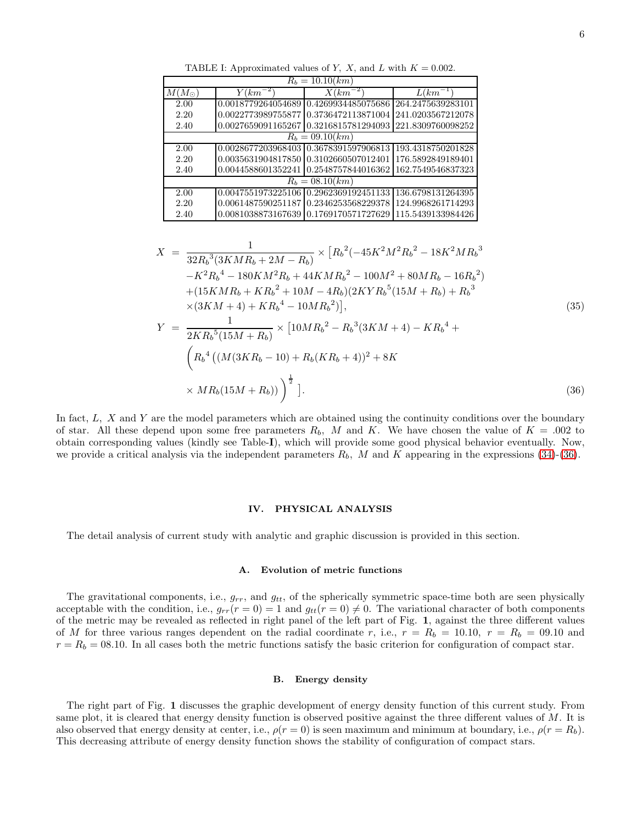TABLE I: Approximated values of Y, X, and L with  $K = 0.002$ .

| $R_b = 10.10 (km)$ |                                       |                     |                   |  |  |
|--------------------|---------------------------------------|---------------------|-------------------|--|--|
| $M(M_{\odot})$     | $(km^{-2})$                           | $X (km^{-2})$       | $\bar{L}(km^{-})$ |  |  |
| 2.00               | 0.0018779264054689                    | 0.4269934485075686  | 264.2475639283101 |  |  |
| 2.20               | 0.0022773989755877                    | 0.3736472113871004  | 241.0203567212078 |  |  |
| 2.40               | 0.0027659091165267                    | 0.3216815781294093  | 221.8309760098252 |  |  |
| $R_h = 09.10 (km)$ |                                       |                     |                   |  |  |
| 2.00               | 0.0028677203968403 0.3678391597906813 |                     | 193.4318750201828 |  |  |
| 2.20               | 0.0035631904817850 0.3102660507012401 |                     | 176.5892849189401 |  |  |
| 2.40               | 0.0044588601352241                    | 0.2548757844016362  | 162.7549546837323 |  |  |
| $R_b = 08.10 (km)$ |                                       |                     |                   |  |  |
| 2.00               | 0.0047551973225106                    | 0.2962369192451133  | 136.6798131264395 |  |  |
| 2.20               | 0.0061487590251187                    | 0.2346253568229378  | 124.9968261714293 |  |  |
| 2.40               | 0.0081038873167639                    | 10.1769170571727629 | 115.5439133984426 |  |  |

<span id="page-5-0"></span>
$$
X = \frac{1}{32R_b^3(3KMR_b + 2M - R_b)} \times [R_b^2(-45K^2M^2R_b^2 - 18K^2MR_b^3 - K^2R_b^4 - 180KM^2R_b + 44KMR_b^2 - 100M^2 + 80MR_b - 16R_b^2) + (15KMR_b + KR_b^2 + 10M - 4R_b)(2KYR_b^5(15M + R_b) + R_b^3) \times (3KM + 4) + KR_b^4 - 10MR_b^2)],
$$
  

$$
Y = \frac{1}{2KR_b^5(15M + R_b)} \times [10MR_b^2 - R_b^3(3KM + 4) - KR_b^4 +
$$
  

$$
\left(R_b^4((M(3KR_b - 10) + R_b(KR_b + 4))^2 + 8K
$$
  

$$
\times MR_b(15M + R_b))\right)^{\frac{1}{2}}].
$$
 (36)

In fact,  $L$ ,  $X$  and  $Y$  are the model parameters which are obtained using the continuity conditions over the boundary of star. All these depend upon some free parameters  $R_b$ , M and K. We have chosen the value of  $K = .002$  to obtain corresponding values (kindly see Table-I), which will provide some good physical behavior eventually. Now, we provide a critical analysis via the independent parameters  $R_b$ , M and K appearing in the expressions [\(34\)](#page-4-2)-[\(36\)](#page-5-0).

## IV. PHYSICAL ANALYSIS

The detail analysis of current study with analytic and graphic discussion is provided in this section.

#### A. Evolution of metric functions

The gravitational components, i.e.,  $g_{rr}$ , and  $g_{tt}$ , of the spherically symmetric space-time both are seen physically acceptable with the condition, i.e.,  $g_{rr}(r=0) = 1$  and  $g_{tt}(r=0) \neq 0$ . The variational character of both components of the metric may be revealed as reflected in right panel of the left part of Fig. 1, against the three different values of M for three various ranges dependent on the radial coordinate r, i.e.,  $r = R_b = 10.10$ ,  $r = R_b = 09.10$  and  $r = R_b = 08.10$ . In all cases both the metric functions satisfy the basic criterion for configuration of compact star.

#### B. Energy density

The right part of Fig. 1 discusses the graphic development of energy density function of this current study. From same plot, it is cleared that energy density function is observed positive against the three different values of M. It is also observed that energy density at center, i.e.,  $\rho(r=0)$  is seen maximum and minimum at boundary, i.e.,  $\rho(r=R_b)$ . This decreasing attribute of energy density function shows the stability of configuration of compact stars.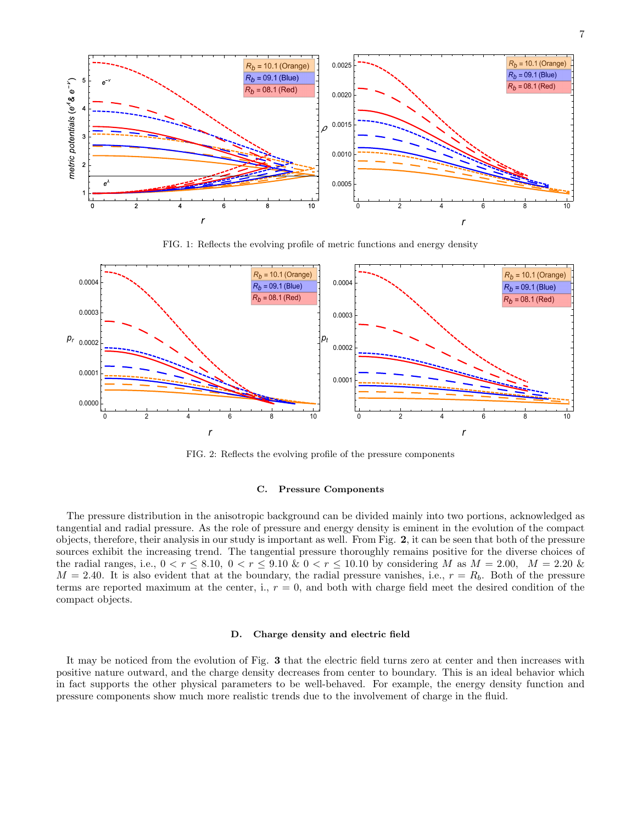

FIG. 1: Reflects the evolving profile of metric functions and energy density



FIG. 2: Reflects the evolving profile of the pressure components

## C. Pressure Components

The pressure distribution in the anisotropic background can be divided mainly into two portions, acknowledged as tangential and radial pressure. As the role of pressure and energy density is eminent in the evolution of the compact objects, therefore, their analysis in our study is important as well. From Fig. 2, it can be seen that both of the pressure sources exhibit the increasing trend. The tangential pressure thoroughly remains positive for the diverse choices of the radial ranges, i.e.,  $0 < r \leq 8.10$ ,  $0 < r \leq 9.10$  &  $0 < r \leq 10.10$  by considering M as  $M = 2.00$ ,  $M = 2.20$  &  $M = 2.40$ . It is also evident that at the boundary, the radial pressure vanishes, i.e.,  $r = R_b$ . Both of the pressure terms are reported maximum at the center, i.,  $r = 0$ , and both with charge field meet the desired condition of the compact objects.

# D. Charge density and electric field

It may be noticed from the evolution of Fig. 3 that the electric field turns zero at center and then increases with positive nature outward, and the charge density decreases from center to boundary. This is an ideal behavior which in fact supports the other physical parameters to be well-behaved. For example, the energy density function and pressure components show much more realistic trends due to the involvement of charge in the fluid.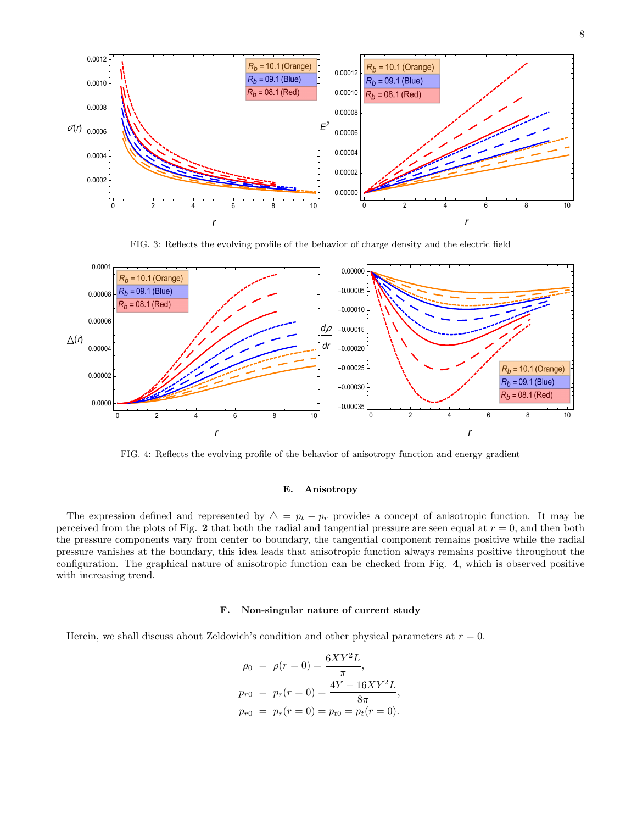

FIG. 3: Reflects the evolving profile of the behavior of charge density and the electric field



FIG. 4: Reflects the evolving profile of the behavior of anisotropy function and energy gradient

## E. Anisotropy

The expression defined and represented by  $\Delta = p_t - p_r$  provides a concept of anisotropic function. It may be perceived from the plots of Fig. 2 that both the radial and tangential pressure are seen equal at  $r = 0$ , and then both the pressure components vary from center to boundary, the tangential component remains positive while the radial pressure vanishes at the boundary, this idea leads that anisotropic function always remains positive throughout the configuration. The graphical nature of anisotropic function can be checked from Fig. 4, which is observed positive with increasing trend.

#### F. Non-singular nature of current study

Herein, we shall discuss about Zeldovich's condition and other physical parameters at  $r = 0$ .

$$
\rho_0 = \rho(r=0) = \frac{6XY^2L}{\pi},
$$
  
\n
$$
p_{r0} = p_r(r=0) = \frac{4Y - 16XY^2L}{8\pi},
$$
  
\n
$$
p_{r0} = p_r(r=0) = p_{t0} = p_t(r=0).
$$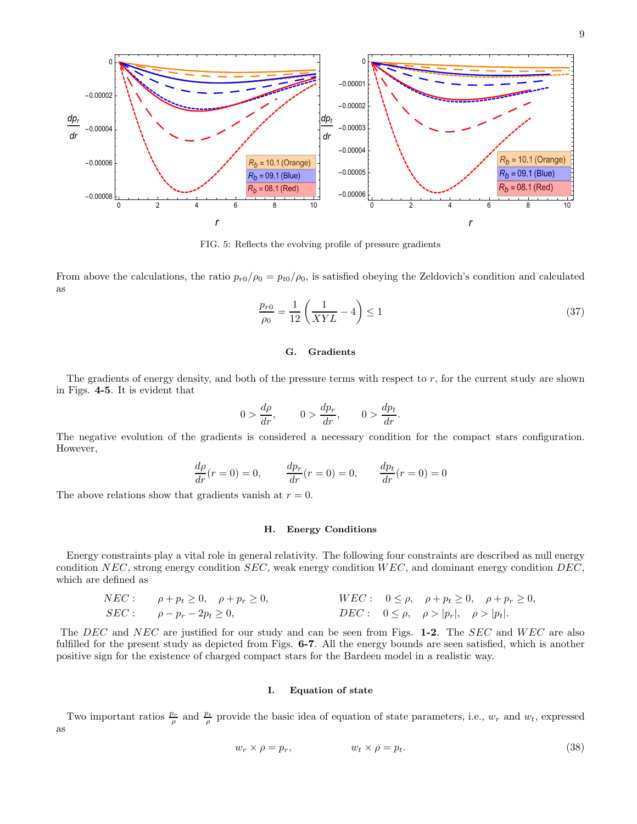

FIG. 5: Reflects the evolving profile of pressure gradients

From above the calculations, the ratio  $p_{r0}/\rho_0 = p_{t0}/\rho_0$ , is satisfied obeying the Zeldovich's condition and calculated as

$$
\frac{p_{r0}}{\rho_0} = \frac{1}{12} \left( \frac{1}{XYL} - 4 \right) \le 1
$$
\n(37)

# G. Gradients

The gradients of energy density, and both of the pressure terms with respect to r, for the current study are shown in Figs. 4-5. It is evident that

$$
0 > \frac{d\rho}{dr}, \qquad 0 > \frac{dp_r}{dr}, \qquad 0 > \frac{dp_t}{dr}.
$$

The negative evolution of the gradients is considered a necessary condition for the compact stars configuration. However,

$$
\frac{d\rho}{dr}(r=0) = 0, \qquad \frac{dp_r}{dr}(r=0) = 0, \qquad \frac{dp_t}{dr}(r=0) = 0
$$

The above relations show that gradients vanish at  $r = 0$ .

## H. Energy Conditions

Energy constraints play a vital role in general relativity. The following four constraints are described as null energy condition NEC, strong energy condition SEC, weak energy condition  $WEC$ , and dominant energy condition DEC, which are defined as

$$
NEC: \quad \rho + p_t \ge 0, \quad \rho + p_r \ge 0, \quad \text{WEC:} \quad 0 \le \rho, \quad \rho + p_t \ge 0, \quad \rho + p_r \ge 0, \quad \text{BEC:} \quad 0 \le \rho, \quad \rho > |p_r|, \quad \rho > |p_t|.
$$

The DEC and NEC are justified for our study and can be seen from Figs. 1-2. The SEC and WEC are also fulfilled for the present study as depicted from Figs. **6-7**. All the energy bounds are seen satisfied, which is another positive sign for the existence of charged compact stars for the Bardeen model in a realistic way.

## I. Equation of state

Two important ratios  $\frac{p_r}{\rho}$  and  $\frac{p_t}{\rho}$  provide the basic idea of equation of state parameters, i.e.,  $w_r$  and  $w_t$ , expressed as

$$
w_r \times \rho = p_r, \qquad \qquad w_t \times \rho = p_t. \tag{38}
$$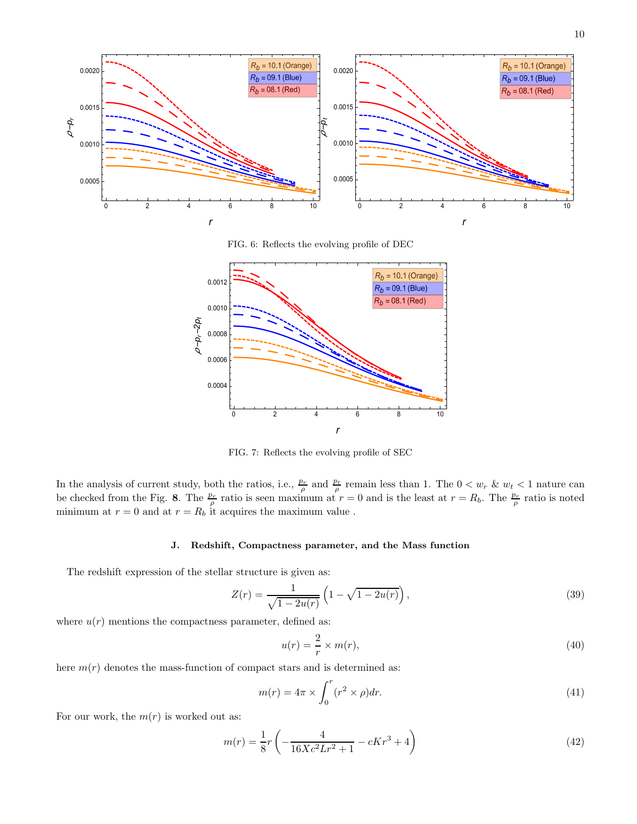

FIG. 6: Reflects the evolving profile of DEC



FIG. 7: Reflects the evolving profile of SEC

In the analysis of current study, both the ratios, i.e.,  $\frac{p_r}{\rho}$  and  $\frac{p_t}{\rho}$  remain less than 1. The  $0 < w_r$  &  $w_t < 1$  nature can be checked from the Fig. 8. The  $\frac{p_r}{\rho}$  ratio is seen maximum at  $r=0$  and is the least at  $r=R_b$ . The  $\frac{p_r}{\rho}$  ratio is noted minimum at  $r = 0$  and at  $r = R_b$  it acquires the maximum value.

# J. Redshift, Compactness parameter, and the Mass function

The redshift expression of the stellar structure is given as:

<span id="page-9-2"></span>
$$
Z(r) = \frac{1}{\sqrt{1 - 2u(r)}} \left( 1 - \sqrt{1 - 2u(r)} \right),\tag{39}
$$

where  $u(r)$  mentions the compactness parameter, defined as:

<span id="page-9-1"></span>
$$
u(r) = \frac{2}{r} \times m(r),\tag{40}
$$

here  $m(r)$  denotes the mass-function of compact stars and is determined as:

$$
m(r) = 4\pi \times \int_0^r (r^2 \times \rho) dr.
$$
 (41)

For our work, the  $m(r)$  is worked out as:

<span id="page-9-0"></span>
$$
m(r) = \frac{1}{8}r\left(-\frac{4}{16Xc^2Lr^2+1} - cKr^3+4\right)
$$
\n(42)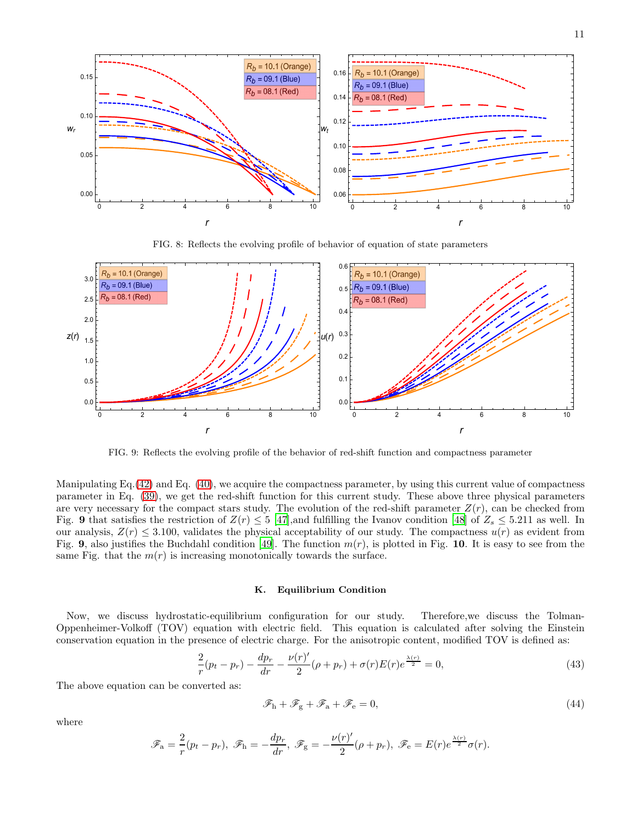

FIG. 8: Reflects the evolving profile of behavior of equation of state parameters



FIG. 9: Reflects the evolving profile of the behavior of red-shift function and compactness parameter

Manipulating Eq.[\(42\)](#page-9-0) and Eq. [\(40\)](#page-9-1), we acquire the compactness parameter, by using this current value of compactness parameter in Eq. [\(39\)](#page-9-2), we get the red-shift function for this current study. These above three physical parameters are very necessary for the compact stars study. The evolution of the red-shift parameter  $Z(r)$ , can be checked from Fig. 9 that satisfies the restriction of  $Z(r) \leq 5$  [\[47](#page-14-33)], and fulfilling the Ivanov condition [\[48\]](#page-14-34) of  $Z_s \leq 5.211$  as well. In our analysis,  $Z(r) \leq 3.100$ , validates the physical acceptability of our study. The compactness  $u(r)$  as evident from Fig. 9, also justifies the Buchdahl condition [\[49](#page-14-35)]. The function  $m(r)$ , is plotted in Fig. 10. It is easy to see from the same Fig. that the  $m(r)$  is increasing monotonically towards the surface.

# K. Equilibrium Condition

Now, we discuss hydrostatic-equilibrium configuration for our study. Therefore,we discuss the Tolman-Oppenheimer-Volkoff (TOV) equation with electric field. This equation is calculated after solving the Einstein conservation equation in the presence of electric charge. For the anisotropic content, modified TOV is defined as:

$$
\frac{2}{r}(p_t - p_r) - \frac{dp_r}{dr} - \frac{\nu(r)'}{2}(\rho + p_r) + \sigma(r)E(r)e^{\frac{\lambda(r)}{2}} = 0,
$$
\n(43)

The above equation can be converted as:

$$
\mathscr{F}_{h} + \mathscr{F}_{g} + \mathscr{F}_{a} + \mathscr{F}_{e} = 0, \tag{44}
$$

where

$$
\mathscr{F}_a = \frac{2}{r}(p_t - p_r), \ \mathscr{F}_h = -\frac{dp_r}{dr}, \ \mathscr{F}_g = -\frac{\nu(r)'}{2}(\rho + p_r), \ \mathscr{F}_e = E(r)e^{\frac{\lambda(r)}{2}}\sigma(r).
$$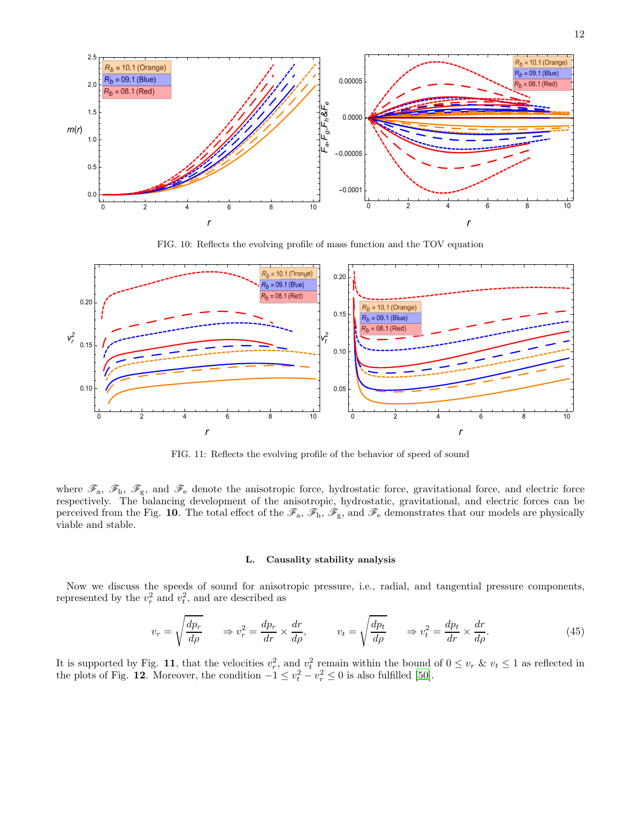

FIG. 10: Reflects the evolving profile of mass function and the TOV equation



FIG. 11: Reflects the evolving profile of the behavior of speed of sound

where  $\mathscr{F}_a$ ,  $\mathscr{F}_b$ ,  $\mathscr{F}_g$ , and  $\mathscr{F}_e$  denote the anisotropic force, hydrostatic force, gravitational force, and electric force respectively. The balancing development of the anisotropic, hydrostatic, gravitational, and electric forces can be perceived from the Fig. 10. The total effect of the  $\mathscr{F}_a$ ,  $\mathscr{F}_h$ ,  $\mathscr{F}_g$ , and  $\mathscr{F}_e$  demonstrates that our models are physically viable and stable.

# L. Causality stability analysis

Now we discuss the speeds of sound for anisotropic pressure, i.e., radial, and tangential pressure components, represented by the  $v_r^2$  and  $v_t^2$ , and are described as

$$
v_r = \sqrt{\frac{dp_r}{d\rho}} \qquad \Rightarrow v_r^2 = \frac{dp_r}{dr} \times \frac{dr}{d\rho}, \qquad v_t = \sqrt{\frac{dp_t}{d\rho}} \qquad \Rightarrow v_t^2 = \frac{dp_t}{dr} \times \frac{dr}{d\rho}.
$$
 (45)

It is supported by Fig. 11, that the velocities  $v_r^2$ , and  $v_t^2$  remain within the bound of  $0 \le v_r$  &  $v_t \le 1$  as reflected in the plots of Fig. 12. Moreover, the condition  $-1 \le v_t^2 - v_r^2 \le 0$  is also fulfilled [\[50\]](#page-14-36).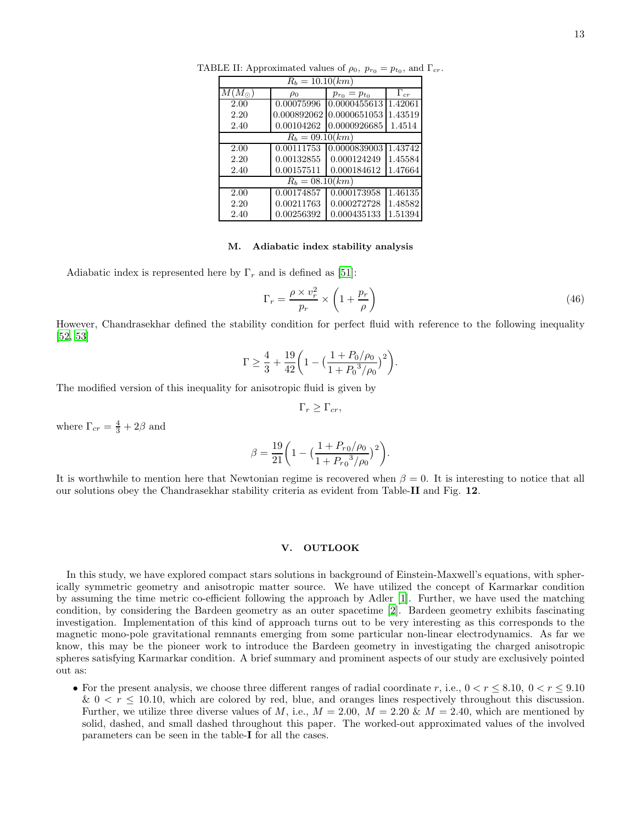| $R_b = 10.10 (km)$ |             |                     |               |  |  |
|--------------------|-------------|---------------------|---------------|--|--|
| $M(M_{\odot})$     | $\rho_0$    | $p_{r_0} = p_{t_0}$ | $\Gamma_{cr}$ |  |  |
| 2.00               | 0.00075996  | 0.0000455613        | 1.42061       |  |  |
| 2.20               | 0.000892062 | 0.0000651053        | 1.43519       |  |  |
| 2.40               | 0.00104262  | 0.0000926685        | 1.4514        |  |  |
| $R_h = 09.10 (km)$ |             |                     |               |  |  |
| 2.00               | 0.00111753  | 0.0000839003        | 1.43742       |  |  |
| 2.20               | 0.00132855  | 0.000124249         | 1.45584       |  |  |
| 2.40               | 0.00157511  | 0.000184612         | 1.47664       |  |  |
| $R_h = 08.10 (km)$ |             |                     |               |  |  |
| 2.00               | 0.00174857  | 0.000173958         | 1.46135       |  |  |
| 2.20               | 0.00211763  | 0.000272728         | 1.48582       |  |  |
| 2.40               | 0.00256392  | 0.000435133         | 1.51394       |  |  |

TABLE II: Approximated values of  $\rho_0$ ,  $p_{r_0} = p_{t_0}$ , and  $\Gamma_{cr}$ .

#### M. Adiabatic index stability analysis

Adiabatic index is represented here by  $\Gamma_r$  and is defined as [\[51\]](#page-14-37):

$$
\Gamma_r = \frac{\rho \times v_r^2}{p_r} \times \left(1 + \frac{p_r}{\rho}\right) \tag{46}
$$

However, Chandrasekhar defined the stability condition for perfect fluid with reference to the following inequality [\[52,](#page-14-38) [53\]](#page-14-39)

$$
\Gamma \ge \frac{4}{3} + \frac{19}{42} \bigg( 1 - \big( \frac{1 + P_0/\rho_0}{1 + P_0^3/\rho_0} \big)^2 \bigg).
$$

The modified version of this inequality for anisotropic fluid is given by

$$
\Gamma_r \geq \Gamma_{cr},
$$

where  $\Gamma_{cr} = \frac{4}{3} + 2\beta$  and

$$
\beta = \frac{19}{21} \bigg( 1 - \left( \frac{1 + P_{r0}/\rho_0}{1 + P_{r0}^{3}/\rho_0} \right)^2 \bigg).
$$

It is worthwhile to mention here that Newtonian regime is recovered when  $\beta = 0$ . It is interesting to notice that all our solutions obey the Chandrasekhar stability criteria as evident from Table-II and Fig. 12.

# V. OUTLOOK

In this study, we have explored compact stars solutions in background of Einstein-Maxwell's equations, with spherically symmetric geometry and anisotropic matter source. We have utilized the concept of Karmarkar condition by assuming the time metric co-efficient following the approach by Adler [\[1](#page-14-0)]. Further, we have used the matching condition, by considering the Bardeen geometry as an outer spacetime [\[2](#page-14-1)]. Bardeen geometry exhibits fascinating investigation. Implementation of this kind of approach turns out to be very interesting as this corresponds to the magnetic mono-pole gravitational remnants emerging from some particular non-linear electrodynamics. As far we know, this may be the pioneer work to introduce the Bardeen geometry in investigating the charged anisotropic spheres satisfying Karmarkar condition. A brief summary and prominent aspects of our study are exclusively pointed out as:

• For the present analysis, we choose three different ranges of radial coordinate r, i.e.,  $0 < r < 8.10$ ,  $0 < r < 9.10$  $\& 0 \le r \le 10.10$ , which are colored by red, blue, and oranges lines respectively throughout this discussion. Further, we utilize three diverse values of M, i.e.,  $M = 2.00$ ,  $M = 2.20$  &  $M = 2.40$ , which are mentioned by solid, dashed, and small dashed throughout this paper. The worked-out approximated values of the involved parameters can be seen in the table-I for all the cases.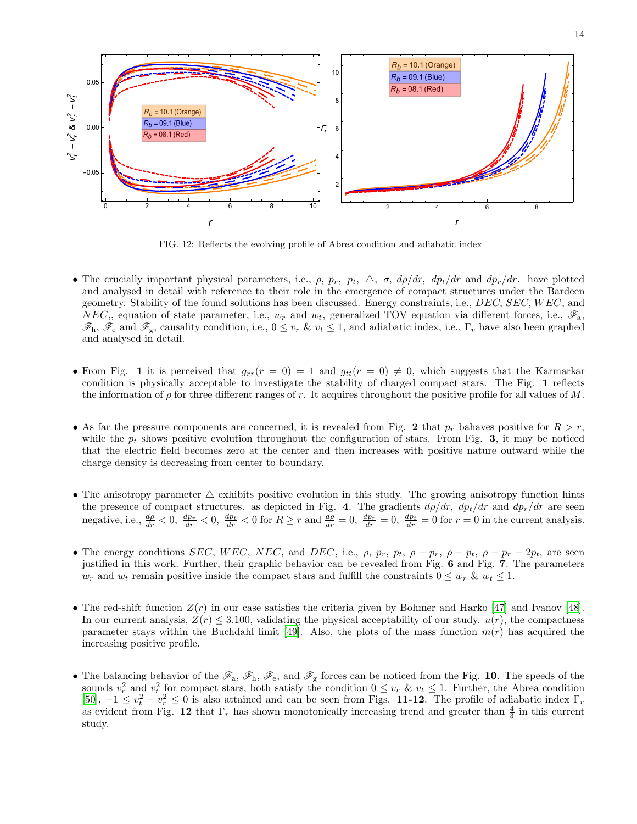

FIG. 12: Reflects the evolving profile of Abrea condition and adiabatic index

- The crucially important physical parameters, i.e.,  $\rho$ ,  $p_r$ ,  $p_t$ ,  $\Delta$ ,  $\sigma$ ,  $d\rho/dr$ ,  $d p_t/dr$  and  $d p_r/dr$ . have plotted and analysed in detail with reference to their role in the emergence of compact structures under the Bardeen geometry. Stability of the found solutions has been discussed. Energy constraints, i.e., DEC, SEC, W EC, and NEC,, equation of state parameter, i.e.,  $w_r$  and  $w_t$ , generalized TOV equation via different forces, i.e.,  $\mathscr{F}_a$ ,  $\mathscr{F}_{h}$ ,  $\mathscr{F}_{e}$  and  $\mathscr{F}_{g}$ , causality condition, i.e.,  $0 \leq v_r \& v_t \leq 1$ , and adiabatic index, i.e.,  $\Gamma_r$  have also been graphed and analysed in detail.
- From Fig. 1 it is perceived that  $g_{rr}(r = 0) = 1$  and  $g_{tt}(r = 0) \neq 0$ , which suggests that the Karmarkar condition is physically acceptable to investigate the stability of charged compact stars. The Fig. 1 reflects the information of  $\rho$  for three different ranges of r. It acquires throughout the positive profile for all values of M.
- As far the pressure components are concerned, it is revealed from Fig. 2 that  $p_r$  bahaves positive for  $R > r$ , while the  $p_t$  shows positive evolution throughout the configuration of stars. From Fig. 3, it may be noticed that the electric field becomes zero at the center and then increases with positive nature outward while the charge density is decreasing from center to boundary.
- The anisotropy parameter  $\triangle$  exhibits positive evolution in this study. The growing anisotropy function hints the presence of compact structures. as depicted in Fig. 4. The gradients  $d\rho/dr$ ,  $dp_t/dr$  and  $dp_r/dr$  are seen negative, i.e.,  $\frac{d\rho}{dr} < 0$ ,  $\frac{dp_r}{dr} < 0$ ,  $\frac{dp_t}{dr} < 0$  for  $R \ge r$  and  $\frac{d\rho}{dr} = 0$ ,  $\frac{dp_r}{dr} = 0$ ,  $\frac{dp_t}{dr} = 0$  for  $r = 0$  in the current analysis.
- The energy conditions SEC, WEC, NEC, and DEC, i.e.,  $\rho$ ,  $p_r$ ,  $p_t$ ,  $\rho p_r$ ,  $\rho p_t$ ,  $\rho p_r 2p_t$ , are seen justified in this work. Further, their graphic behavior can be revealed from Fig. 6 and Fig. 7. The parameters  $w_r$  and  $w_t$  remain positive inside the compact stars and fulfill the constraints  $0 \leq w_r \& w_t \leq 1$ .
- The red-shift function  $Z(r)$  in our case satisfies the criteria given by Bohmer and Harko [\[47](#page-14-33)] and Ivanov [\[48\]](#page-14-34). In our current analysis,  $Z(r) \leq 3.100$ , validating the physical acceptability of our study.  $u(r)$ , the compactness parameter stays within the Buchdahl limit [\[49\]](#page-14-35). Also, the plots of the mass function  $m(r)$  has acquired the increasing positive profile.
- The balancing behavior of the  $\mathscr{F}_a$ ,  $\mathscr{F}_b$ ,  $\mathscr{F}_e$ , and  $\mathscr{F}_g$  forces can be noticed from the Fig. 10. The speeds of the sounds  $v_r^2$  and  $v_t^2$  for compact stars, both satisfy the condition  $0 \le v_r$  &  $v_t \le 1$ . Further, the Abrea condition [\[50\]](#page-14-36),  $-1 \le v_t^2 - v_r^2 \le 0$  is also attained and can be seen from Figs. **11-12**. The profile of adiabatic index  $\Gamma_r$ as evident from Fig. 12 that  $\Gamma_r$  has shown monotonically increasing trend and greater than  $\frac{4}{3}$  in this current study.